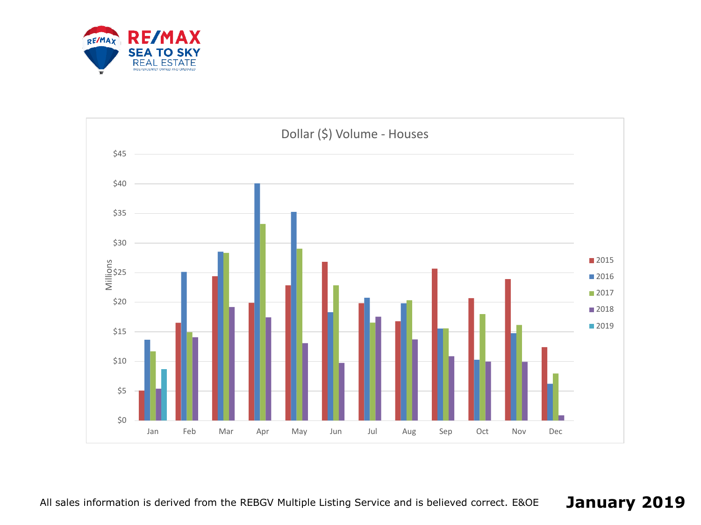

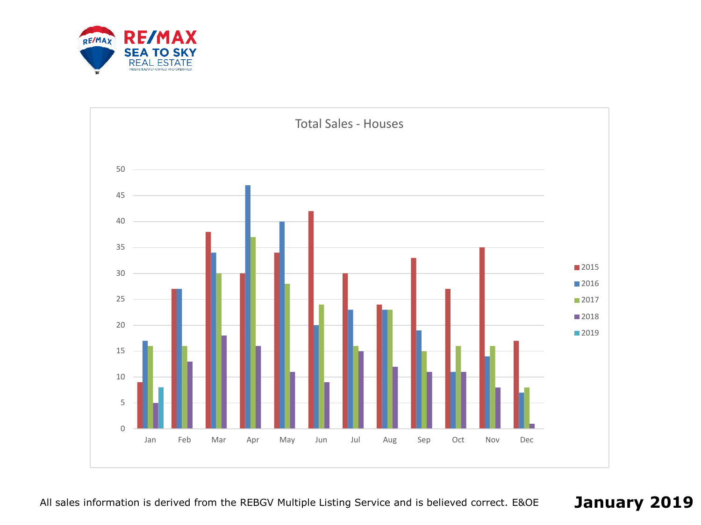

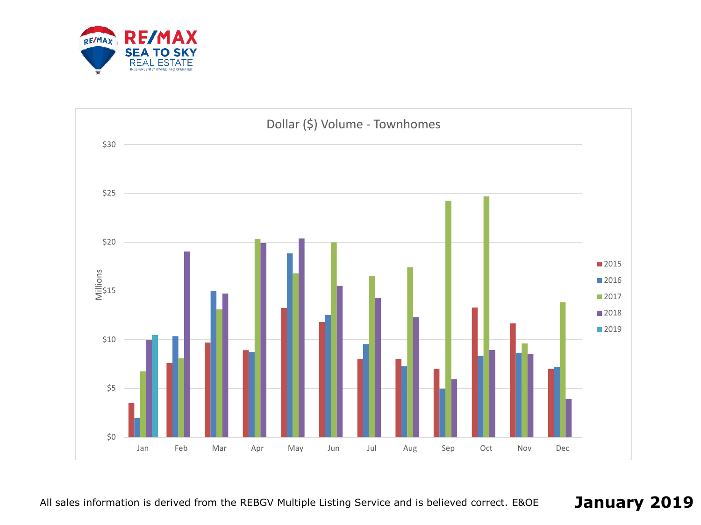

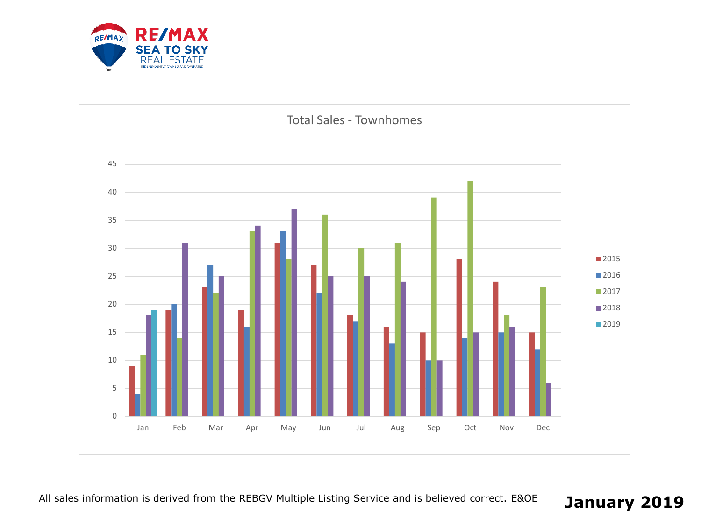

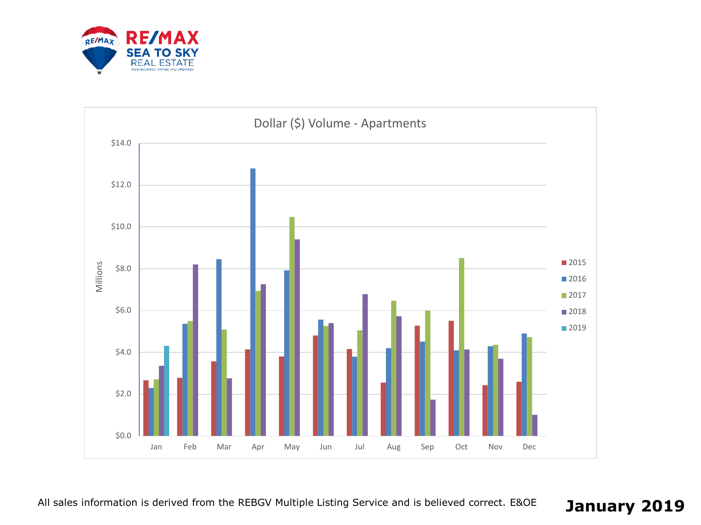

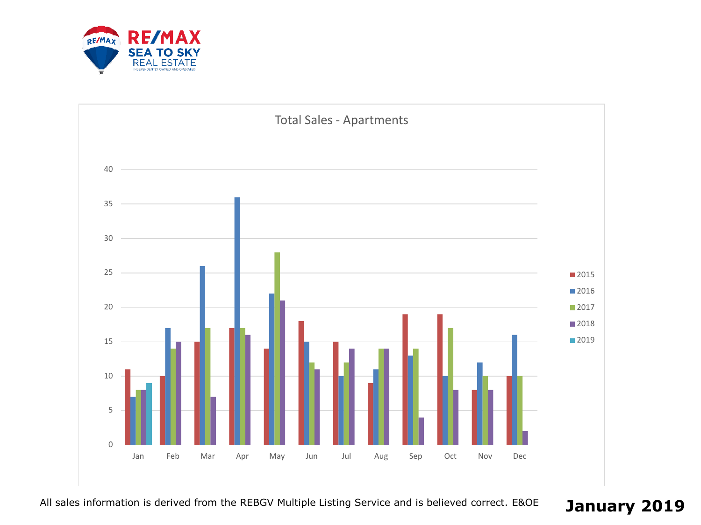

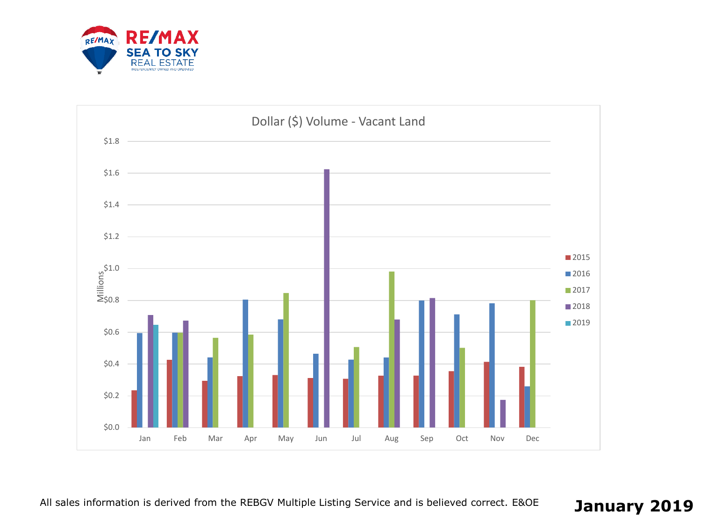

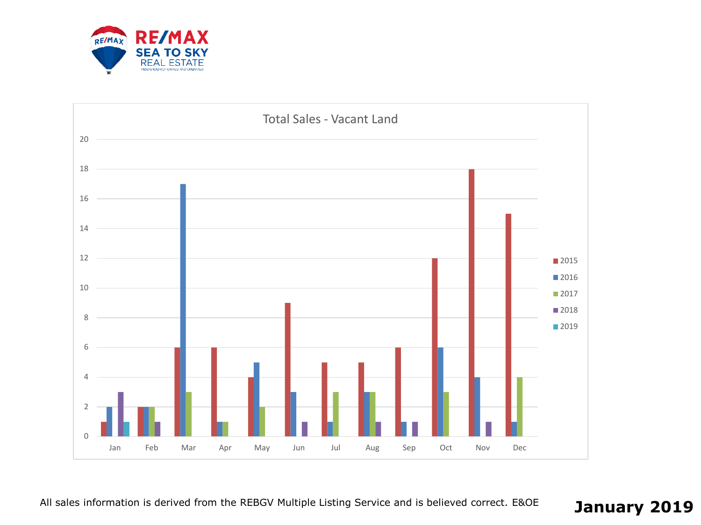

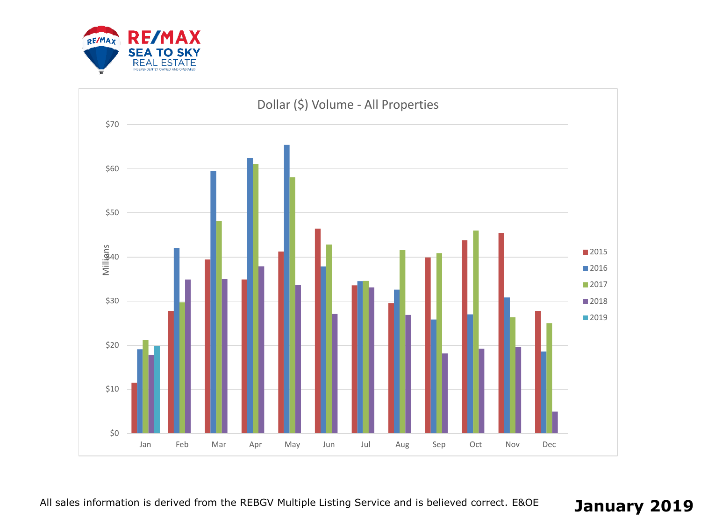

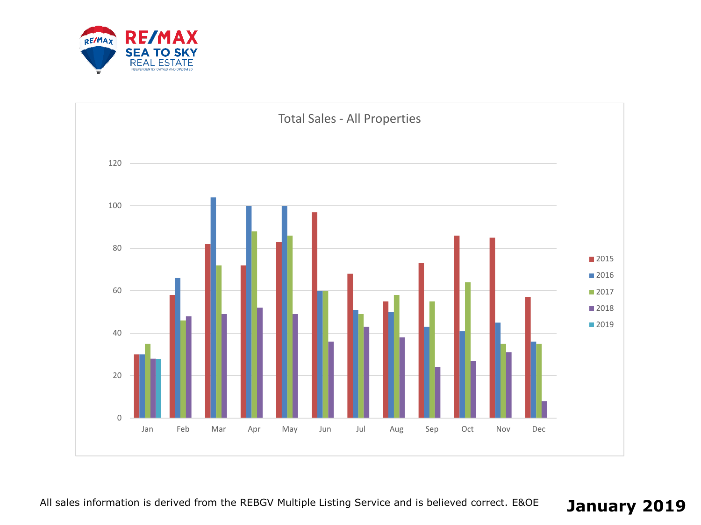

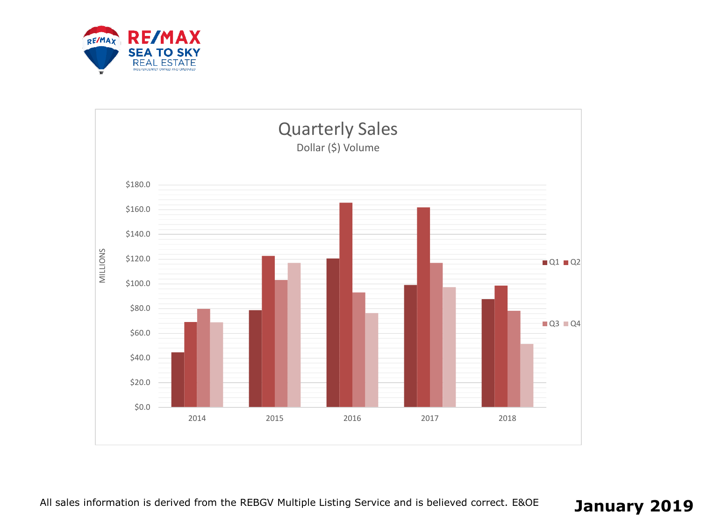